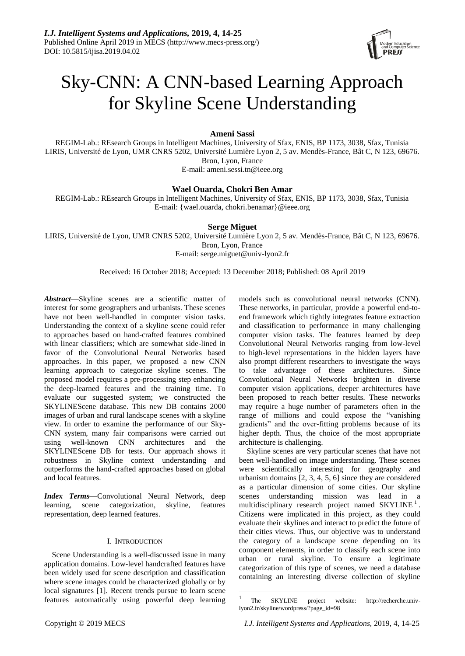

# Sky-CNN: A CNN-based Learning Approach for Skyline Scene Understanding

# **Ameni Sassi**

REGIM-Lab.: REsearch Groups in Intelligent Machines, University of Sfax, ENIS, BP 1173, 3038, Sfax, Tunisia LIRIS, Université de Lyon, UMR CNRS 5202, Université Lumière Lyon 2, 5 av. Mendès-France, Bât C, N 123, 69676. Bron, Lyon, France E-mail: ameni.sessi.tn@ieee.org

# **Wael Ouarda, Chokri Ben Amar**

REGIM-Lab.: REsearch Groups in Intelligent Machines, University of Sfax, ENIS, BP 1173, 3038, Sfax, Tunisia E-mail: {wael.ouarda, chokri.benamar}@ieee.org

# **Serge Miguet**

LIRIS, Université de Lyon, UMR CNRS 5202, Université Lumière Lyon 2, 5 av. Mendès-France, Bât C, N 123, 69676. Bron, Lyon, France E-mail: serge.miguet@univ-lyon2.fr

# Received: 16 October 2018; Accepted: 13 December 2018; Published: 08 April 2019

 $\overline{\phantom{a}}$ 

*Abstract*—Skyline scenes are a scientific matter of interest for some geographers and urbanists. These scenes have not been well-handled in computer vision tasks. Understanding the context of a skyline scene could refer to approaches based on hand-crafted features combined with linear classifiers; which are somewhat side-lined in favor of the Convolutional Neural Networks based approaches. In this paper, we proposed a new CNN learning approach to categorize skyline scenes. The proposed model requires a pre-processing step enhancing the deep-learned features and the training time. To evaluate our suggested system; we constructed the SKYLINEScene database. This new DB contains 2000 images of urban and rural landscape scenes with a skyline view. In order to examine the performance of our Sky-CNN system, many fair comparisons were carried out using well-known CNN architectures and the SKYLINEScene DB for tests. Our approach shows it robustness in Skyline context understanding and outperforms the hand-crafted approaches based on global and local features.

*Index Terms***—**Convolutional Neural Network, deep learning, scene categorization, skyline, features representation, deep learned features.

# I. INTRODUCTION

Scene Understanding is a well-discussed issue in many application domains. Low-level handcrafted features have been widely used for scene description and classification where scene images could be characterized globally or by local signatures [1]. Recent trends pursue to learn scene features automatically using powerful deep learning models such as convolutional neural networks (CNN). These networks, in particular, provide a powerful end-toend framework which tightly integrates feature extraction and classification to performance in many challenging computer vision tasks. The features learned by deep Convolutional Neural Networks ranging from low-level to high-level representations in the hidden layers have also prompt different researchers to investigate the ways to take advantage of these architectures. Since Convolutional Neural Networks brighten in diverse computer vision applications, deeper architectures have been proposed to reach better results. These networks may require a huge number of parameters often in the range of millions and could expose the "vanishing" gradients" and the over-fitting problems because of its higher depth. Thus, the choice of the most appropriate architecture is challenging.

Skyline scenes are very particular scenes that have not been well-handled on image understanding. These scenes were scientifically interesting for geography and urbanism domains [2, 3, 4, 5, 6] since they are considered as a particular dimension of some cities. Our skyline scenes understanding mission was lead in a multidisciplinary research project named  $SKYLINE<sup>1</sup>$ . Citizens were implicated in this project, as they could evaluate their skylines and interact to predict the future of their cities views. Thus, our objective was to understand the category of a landscape scene depending on its component elements, in order to classify each scene into urban or rural skyline. To ensure a legitimate categorization of this type of scenes, we need a database containing an interesting diverse collection of skyline

<sup>1</sup> The SKYLINE project website: http://recherche.univlyon2.fr/skyline/wordpress/?page\_id=98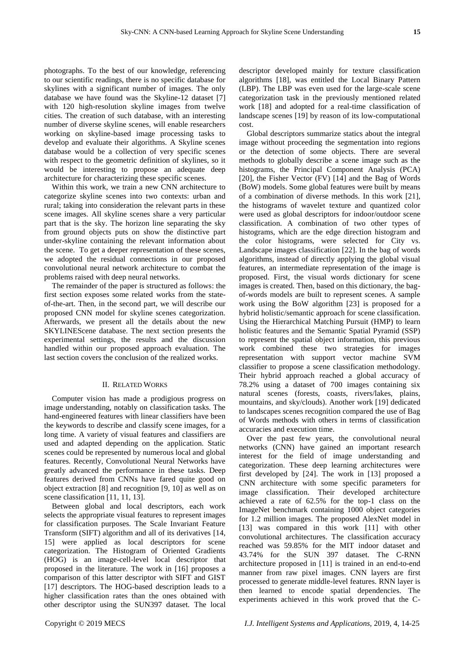photographs. To the best of our knowledge, referencing to our scientific readings, there is no specific database for skylines with a significant number of images. The only database we have found was the Skyline-12 dataset [7] with 120 high-resolution skyline images from twelve cities. The creation of such database, with an interesting number of diverse skyline scenes, will enable researchers working on skyline-based image processing tasks to develop and evaluate their algorithms. A Skyline scenes database would be a collection of very specific scenes with respect to the geometric definition of skylines, so it would be interesting to propose an adequate deep architecture for characterizing these specific scenes.

Within this work, we train a new CNN architecture to categorize skyline scenes into two contexts: urban and rural; taking into consideration the relevant parts in these scene images. All skyline scenes share a very particular part that is the sky. The horizon line separating the sky from ground objects puts on show the distinctive part under-skyline containing the relevant information about the scene. To get a deeper representation of these scenes, we adopted the residual connections in our proposed convolutional neural network architecture to combat the problems raised with deep neural networks.

The remainder of the paper is structured as follows: the first section exposes some related works from the stateof-the-art. Then, in the second part, we will describe our proposed CNN model for skyline scenes categorization. Afterwards, we present all the details about the new SKYLINEScene database. The next section presents the experimental settings, the results and the discussion handled within our proposed approach evaluation. The last section covers the conclusion of the realized works.

#### II. RELATED WORKS

Computer vision has made a prodigious progress on image understanding, notably on classification tasks. The hand-engineered features with linear classifiers have been the keywords to describe and classify scene images, for a long time. A variety of visual features and classifiers are used and adapted depending on the application. Static scenes could be represented by numerous local and global features. Recently, Convolutional Neural Networks have greatly advanced the performance in these tasks. Deep features derived from CNNs have fared quite good on object extraction [8] and recognition [9, 10] as well as on scene classification [11, 11, 13].

Between global and local descriptors, each work selects the appropriate visual features to represent images for classification purposes. The Scale Invariant Feature Transform (SIFT) algorithm and all of its derivatives [14, 15] were applied as local descriptors for scene categorization. The Histogram of Oriented Gradients (HOG) is an image-cell-level local descriptor that proposed in the literature. The work in [16] proposes a comparison of this latter descriptor with SIFT and GIST [17] descriptors. The HOG-based description leads to a higher classification rates than the ones obtained with other descriptor using the SUN397 dataset. The local

descriptor developed mainly for texture classification algorithms [18], was entitled the Local Binary Pattern (LBP). The LBP was even used for the large-scale scene categorization task in the previously mentioned related work [18] and adopted for a real-time classification of landscape scenes [19] by reason of its low-computational cost.

Global descriptors summarize statics about the integral image without proceeding the segmentation into regions or the detection of some objects. There are several methods to globally describe a scene image such as the histograms, the Principal Component Analysis (PCA) [20], the Fisher Vector (FV) [14] and the Bag of Words (BoW) models. Some global features were built by means of a combination of diverse methods. In this work [21], the histograms of wavelet texture and quantized color were used as global descriptors for indoor/outdoor scene classification. A combination of two other types of histograms, which are the edge direction histogram and the color histograms, were selected for City vs. Landscape images classification [22]. In the bag of words algorithms, instead of directly applying the global visual features, an intermediate representation of the image is proposed. First, the visual words dictionary for scene images is created. Then, based on this dictionary, the bagof-words models are built to represent scenes. A sample work using the BoW algorithm [23] is proposed for a hybrid holistic/semantic approach for scene classification. Using the Hierarchical Matching Pursuit (HMP) to learn holistic features and the Semantic Spatial Pyramid (SSP) to represent the spatial object information, this previous work combined these two strategies for images representation with support vector machine SVM classifier to propose a scene classification methodology. Their hybrid approach reached a global accuracy of 78.2% using a dataset of 700 images containing six natural scenes (forests, coasts, rivers/lakes, plains, mountains, and sky/clouds). Another work [19] dedicated to landscapes scenes recognition compared the use of Bag of Words methods with others in terms of classification accuracies and execution time.

Over the past few years, the convolutional neural networks (CNN) have gained an important research interest for the field of image understanding and categorization. These deep learning architectures were first developed by [24]. The work in [13] proposed a CNN architecture with some specific parameters for image classification. Their developed architecture achieved a rate of 62.5% for the top-1 class on the ImageNet benchmark containing 1000 object categories for 1.2 million images. The proposed AlexNet model in [13] was compared in this work [11] with other convolutional architectures. The classification accuracy reached was 59.85% for the MIT indoor dataset and 43.74% for the SUN 397 dataset. The C-RNN architecture proposed in [11] is trained in an end-to-end manner from raw pixel images. CNN layers are first processed to generate middle-level features. RNN layer is then learned to encode spatial dependencies. The experiments achieved in this work proved that the C-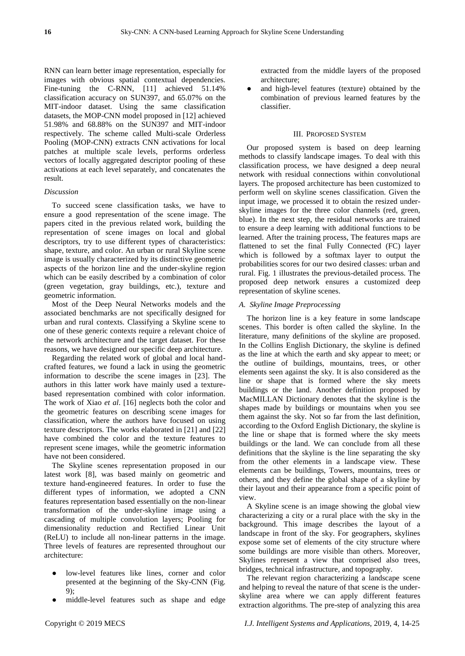RNN can learn better image representation, especially for images with obvious spatial contextual dependencies. Fine-tuning the C-RNN, [11] achieved 51.14% classification accuracy on SUN397, and 65.07% on the MIT-indoor dataset. Using the same classification datasets, the MOP-CNN model proposed in [12] achieved 51.98% and 68.88% on the SUN397 and MIT-indoor respectively. The scheme called Multi-scale Orderless Pooling (MOP-CNN) extracts CNN activations for local patches at multiple scale levels, performs orderless vectors of locally aggregated descriptor pooling of these activations at each level separately, and concatenates the result.

# *Discussion*

To succeed scene classification tasks, we have to ensure a good representation of the scene image. The papers cited in the previous related work, building the representation of scene images on local and global descriptors, try to use different types of characteristics: shape, texture, and color. An urban or rural Skyline scene image is usually characterized by its distinctive geometric aspects of the horizon line and the under-skyline region which can be easily described by a combination of color (green vegetation, gray buildings, etc.), texture and geometric information.

Most of the Deep Neural Networks models and the associated benchmarks are not specifically designed for urban and rural contexts. Classifying a Skyline scene to one of these generic contexts require a relevant choice of the network architecture and the target dataset. For these reasons, we have designed our specific deep architecture.

Regarding the related work of global and local handcrafted features, we found a lack in using the geometric information to describe the scene images in [23]. The authors in this latter work have mainly used a texturebased representation combined with color information. The work of Xiao *et al*. [16] neglects both the color and the geometric features on describing scene images for classification, where the authors have focused on using texture descriptors. The works elaborated in [21] and [22] have combined the color and the texture features to represent scene images, while the geometric information have not been considered.

The Skyline scenes representation proposed in our latest work [8], was based mainly on geometric and texture hand-engineered features. In order to fuse the different types of information, we adopted a CNN features representation based essentially on the non-linear transformation of the under-skyline image using a cascading of multiple convolution layers; Pooling for dimensionality reduction and Rectified Linear Unit (ReLU) to include all non-linear patterns in the image. Three levels of features are represented throughout our architecture:

- low-level features like lines, corner and color presented at the beginning of the Sky-CNN (Fig. 9);
- middle-level features such as shape and edge

extracted from the middle layers of the proposed architecture;

and high-level features (texture) obtained by the combination of previous learned features by the classifier.

# III. PROPOSED SYSTEM

Our proposed system is based on deep learning methods to classify landscape images. To deal with this classification process, we have designed a deep neural network with residual connections within convolutional layers. The proposed architecture has been customized to perform well on skyline scenes classification. Given the input image, we processed it to obtain the resized underskyline images for the three color channels (red, green, blue). In the next step, the residual networks are trained to ensure a deep learning with additional functions to be learned. After the training process, The features maps are flattened to set the final Fully Connected (FC) layer which is followed by a softmax layer to output the probabilities scores for our two desired classes: urban and rural. Fig. 1 illustrates the previous-detailed process. The proposed deep network ensures a customized deep representation of skyline scenes.

## *A. Skyline Image Preprocessing*

The horizon line is a key feature in some landscape scenes. This border is often called the skyline. In the literature, many definitions of the skyline are proposed. In the Collins English Dictionary, the skyline is defined as the line at which the earth and sky appear to meet; or the outline of buildings, mountains, trees, or other elements seen against the sky. It is also considered as the line or shape that is formed where the sky meets buildings or the land. Another definition proposed by MacMILLAN Dictionary denotes that the skyline is the shapes made by buildings or mountains when you see them against the sky. Not so far from the last definition, according to the Oxford English Dictionary, the skyline is the line or shape that is formed where the sky meets buildings or the land. We can conclude from all these definitions that the skyline is the line separating the sky from the other elements in a landscape view. These elements can be buildings, Towers, mountains, trees or others, and they define the global shape of a skyline by their layout and their appearance from a specific point of view.

A Skyline scene is an image showing the global view characterizing a city or a rural place with the sky in the background. This image describes the layout of a landscape in front of the sky. For geographers, skylines expose some set of elements of the city structure where some buildings are more visible than others. Moreover, Skylines represent a view that comprised also trees, bridges, technical infrastructure, and topography.

The relevant region characterizing a landscape scene and helping to reveal the nature of that scene is the underskyline area where we can apply different features extraction algorithms. The pre-step of analyzing this area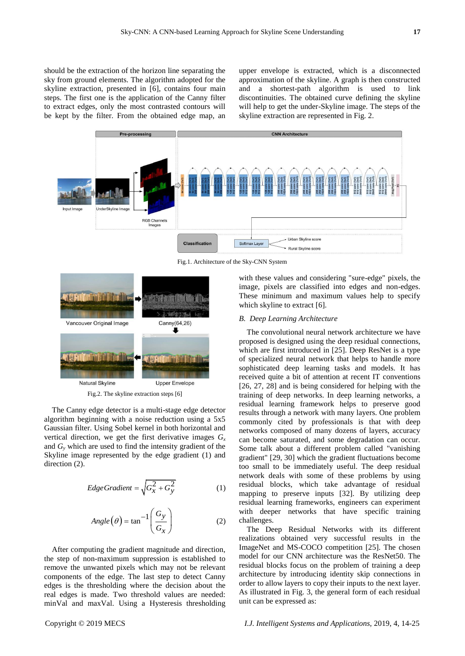should be the extraction of the horizon line separating the sky from ground elements. The algorithm adopted for the skyline extraction, presented in [6], contains four main steps. The first one is the application of the Canny filter to extract edges, only the most contrasted contours will be kept by the filter. From the obtained edge map, an

upper envelope is extracted, which is a disconnected approximation of the skyline. A graph is then constructed and a shortest-path algorithm is used to link discontinuities. The obtained curve defining the skyline will help to get the under-Skyline image. The steps of the skyline extraction are represented in Fig. 2.



Fig.1. Architecture of the Sky-CNN System



Fig.2. The skyline extraction steps [6]

The Canny edge detector is a multi-stage edge detector algorithm beginning with a noise reduction using a 5x5 Gaussian filter. Using Sobel kernel in both horizontal and vertical direction, we get the first derivative images  $G<sub>x</sub>$ and  $G<sub>y</sub>$  which are used to find the intensity gradient of the Skyline image represented by the edge gradient (1) and direction  $(2)$ .

$$
EdgeGradient = \sqrt{G_x^2 + G_y^2}
$$
 (1)

$$
Angle(\theta) = \tan^{-1}\left(\frac{G_y}{G_x}\right) \tag{2}
$$

After computing the gradient magnitude and direction, the step of non-maximum suppression is established to remove the unwanted pixels which may not be relevant components of the edge. The last step to detect Canny edges is the thresholding where the decision about the real edges is made. Two threshold values are needed: minVal and maxVal. Using a Hysteresis thresholding

with these values and considering "sure-edge" pixels, the image, pixels are classified into edges and non-edges. These minimum and maximum values help to specify which skyline to extract [6].

## *B. Deep Learning Architecture*

The convolutional neural network architecture we have proposed is designed using the deep residual connections, which are first introduced in [25]. Deep ResNet is a type of specialized neural network that helps to handle more sophisticated deep learning tasks and models. It has received quite a bit of attention at recent IT conventions [26, 27, 28] and is being considered for helping with the training of deep networks. In deep learning networks, a residual learning framework helps to preserve good results through a network with many layers. One problem commonly cited by professionals is that with deep networks composed of many dozens of layers, accuracy can become saturated, and some degradation can occur. Some talk about a different problem called "vanishing gradient" [29, 30] which the gradient fluctuations become too small to be immediately useful. The deep residual network deals with some of these problems by using residual blocks, which take advantage of residual mapping to preserve inputs [32]. By utilizing deep residual learning frameworks, engineers can experiment with deeper networks that have specific training challenges.

The Deep Residual Networks with its different realizations obtained very successful results in the ImageNet and MS-COCO competition [25]. The chosen model for our CNN architecture was the ResNet50. The residual blocks focus on the problem of training a deep architecture by introducing identity skip connections in order to allow layers to copy their inputs to the next layer. As illustrated in Fig. 3, the general form of each residual unit can be expressed as: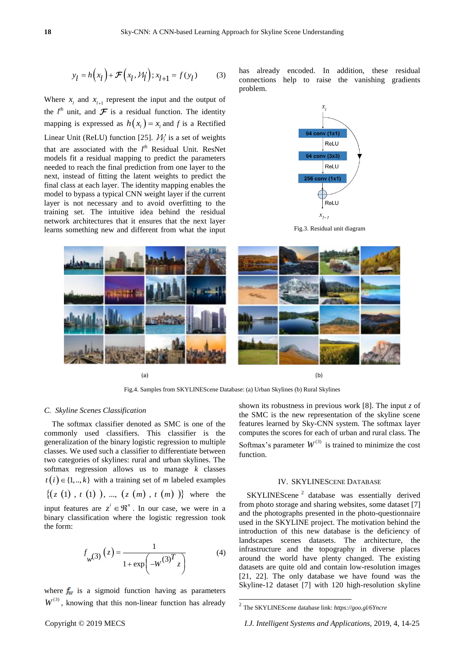$$
y_l = h(x_l) + \mathcal{F}(x_l, \mathcal{W}_l); x_{l+1} = f(y_l)
$$
 (3)

Where  $x_i$  and  $x_{i+1}$  represent the input and the output of the  $l^{th}$  unit, and  $\mathcal F$  is a residual function. The identity mapping is expressed as  $h(x_i) = x_i$  and *f* is a Rectified Linear Unit (ReLU) function [25].  $\mathcal{W}_i$  is a set of weights that are associated with the *l th* Residual Unit. ResNet models fit a residual mapping to predict the parameters needed to reach the final prediction from one layer to the next, instead of fitting the latent weights to predict the final class at each layer. The identity mapping enables the model to bypass a typical CNN weight layer if the current layer is not necessary and to avoid overfitting to the training set. The intuitive idea behind the residual network architectures that it ensures that the next layer learns something new and different from what the input

has already encoded. In addition, these residual connections help to raise the vanishing gradients problem.



Fig.3. Residual unit diagram



Fig.4. Samples from SKYLINEScene Database: (a) Urban Skylines (b) Rural Skylines

## *C. Skyline Scenes Classification*

The softmax classifier denoted as SMC is one of the commonly used classifiers. This classifier is the generalization of the binary logistic regression to multiple classes. We used such a classifier to differentiate between two categories of skylines: rural and urban skylines. The softmax regression allows us to manage *k* classes  $t(i) \in \{1, ..., k\}$  with a training set of *m* labeled examples  $z(t) \in \{1, ..., k\}$  with a training set of *m* labeled examples<br> $\{(z(t), t(t)), ..., (z(m), t(m))\}$  where the input features are  $z^i \in \mathbb{R}^n$ . In our case, we were in a binary classification where the logistic regression took the form:

$$
f_{w}(3) (z) = \frac{1}{1 + \exp(-W^{(3)T} z)}
$$
(4)

where  $f_w$  is a sigmoid function having as parameters  $W^{(3)}$ , knowing that this non-linear function has already shown its robustness in previous work [8]. The input *z* of the SMC is the new representation of the skyline scene features learned by Sky-CNN system. The softmax layer computes the scores for each of urban and rural class. The Softmax's parameter  $W^{(3)}$  is trained to minimize the cost function.

# IV. SKYLINESCENE DATABASE

SKYLINEScene<sup>2</sup> database was essentially derived from photo storage and sharing websites, some dataset [7] and the photographs presented in the photo-questionnaire used in the SKYLINE project. The motivation behind the introduction of this new database is the deficiency of landscapes scenes datasets. The architecture, the infrastructure and the topography in diverse places around the world have plenty changed. The existing datasets are quite old and contain low-resolution images [21, 22]. The only database we have found was the Skyline-12 dataset [7] with 120 high-resolution skyline

 2 The SKYLINEScene database link: *https://goo.gl/6Yncre*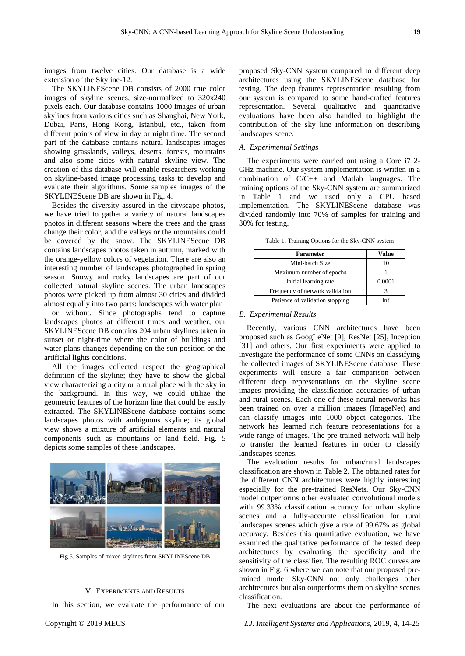images from twelve cities. Our database is a wide extension of the Skyline-12.

The SKYLINEScene DB consists of 2000 true color images of skyline scenes, size-normalized to 320x240 pixels each. Our database contains 1000 images of urban skylines from various cities such as Shanghai, New York, Dubai, Paris, Hong Kong, Istanbul, etc., taken from different points of view in day or night time. The second part of the database contains natural landscapes images showing grasslands, valleys, deserts, forests, mountains and also some cities with natural skyline view. The creation of this database will enable researchers working on skyline-based image processing tasks to develop and evaluate their algorithms. Some samples images of the SKYLINEScene DB are shown in Fig. 4.

Besides the diversity assured in the cityscape photos, we have tried to gather a variety of natural landscapes photos in different seasons where the trees and the grass change their color, and the valleys or the mountains could be covered by the snow. The SKYLINEScene DB contains landscapes photos taken in autumn, marked with the orange-yellow colors of vegetation. There are also an interesting number of landscapes photographed in spring season. Snowy and rocky landscapes are part of our collected natural skyline scenes. The urban landscapes photos were picked up from almost 30 cities and divided almost equally into two parts: landscapes with water plan

or without. Since photographs tend to capture landscapes photos at different times and weather, our SKYLINEScene DB contains 204 urban skylines taken in sunset or night-time where the color of buildings and water plans changes depending on the sun position or the artificial lights conditions.

All the images collected respect the geographical definition of the skyline; they have to show the global view characterizing a city or a rural place with the sky in the background. In this way, we could utilize the geometric features of the horizon line that could be easily extracted. The SKYLINEScene database contains some landscapes photos with ambiguous skyline; its global view shows a mixture of artificial elements and natural components such as mountains or land field. Fig. 5 depicts some samples of these landscapes.



Fig.5. Samples of mixed skylines from SKYLINEScene DB

#### V. EXPERIMENTS AND RESULTS

In this section, we evaluate the performance of our

proposed Sky-CNN system compared to different deep architectures using the SKYLINEScene database for testing. The deep features representation resulting from our system is compared to some hand-crafted features representation. Several qualitative and quantitative evaluations have been also handled to highlight the contribution of the sky line information on describing landscapes scene.

#### *A. Experimental Settings*

The experiments were carried out using a Core i7 2- GHz machine. Our system implementation is written in a combination of C/C++ and Matlab languages. The training options of the Sky-CNN system are summarized in Table 1 and we used only a CPU based implementation. The SKYLINEScene database was divided randomly into 70% of samples for training and 30% for testing.

| Table 1. Training Options for the Sky-CNN system |  |  |
|--------------------------------------------------|--|--|
|                                                  |  |  |

| Parameter                       | <b>Value</b> |
|---------------------------------|--------------|
| Mini-batch Size                 | 10           |
| Maximum number of epochs        |              |
| Initial learning rate           | 0.0001       |
| Frequency of network validation |              |
| Patience of validation stopping | Inf          |

#### *B. Experimental Results*

Recently, various CNN architectures have been proposed such as GoogLeNet [9], ResNet [25], Inception [31] and others. Our first experiments were applied to investigate the performance of some CNNs on classifying the collected images of SKYLINEScene database. These experiments will ensure a fair comparison between different deep representations on the skyline scene images providing the classification accuracies of urban and rural scenes. Each one of these neural networks has been trained on over a million images (ImageNet) and can classify images into 1000 object categories. The network has learned rich feature representations for a wide range of images. The pre-trained network will help to transfer the learned features in order to classify landscapes scenes.

The evaluation results for urban/rural landscapes classification are shown in Table 2. The obtained rates for the different CNN architectures were highly interesting especially for the pre-trained ResNets. Our Sky-CNN model outperforms other evaluated convolutional models with 99.33% classification accuracy for urban skyline scenes and a fully-accurate classification for rural landscapes scenes which give a rate of 99.67% as global accuracy. Besides this quantitative evaluation, we have examined the qualitative performance of the tested deep architectures by evaluating the specificity and the sensitivity of the classifier. The resulting ROC curves are shown in Fig. 6 where we can note that our proposed pretrained model Sky-CNN not only challenges other architectures but also outperforms them on skyline scenes classification.

The next evaluations are about the performance of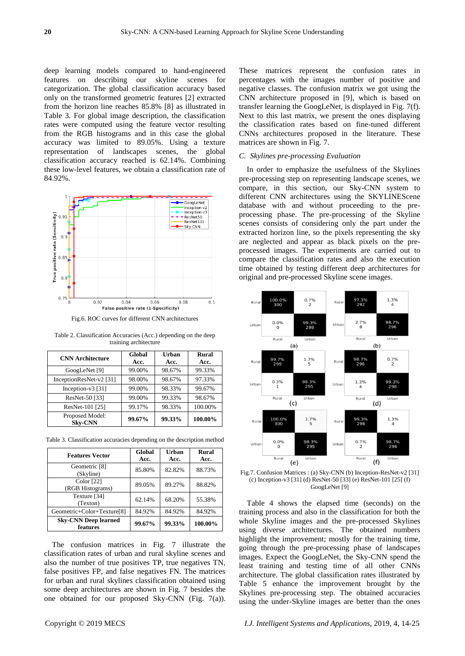deep learning models compared to hand-engineered features on describing our skyline scenes for categorization. The global classification accuracy based only on the transformed geometric features [2] extracted from the horizon line reaches 85.8% [8] as illustrated in Table 3. For global image description, the classification rates were computed using the feature vector resulting from the RGB histograms and in this case the global accuracy was limited to 89.05%. Using a texture representation of landscapes scenes, the global classification accuracy reached is 62.14%. Combining these low-level features, we obtain a classification rate of 84.92%.



Fig.6. ROC curves for different CNN architectures

Table 2. Classification Accuracies (Acc.) depending on the deep training architecture

| <b>CNN</b> Architecture           | Global<br>Acc. | Urban<br>Acc. | Rural<br>Acc. |
|-----------------------------------|----------------|---------------|---------------|
| GoogLeNet [9]                     | 99.00%         | 98.67%        | 99.33%        |
| InceptionResNet-v2 [31]           | 98.00%         | 98.67%        | 97.33%        |
| Inception-v3 [31]                 | 99.00%         | 98.33%        | 99.67%        |
| ResNet-50 [33]                    | 99.00%         | 99.33%        | 98.67%        |
| ResNet-101 [25]                   | 99.17%         | 98.33%        | 100.00%       |
| Proposed Model:<br><b>Sky-CNN</b> | 99.67%         | 99.33%        | 100.00%       |

Table 3. Classification accuracies depending on the description method

| <b>Features Vector</b>                  | Global<br>Acc. | Urban<br>Acc. | Rural<br>Acc. |
|-----------------------------------------|----------------|---------------|---------------|
| Geometric [8]<br>(Skyline)              | 85.80%         | 82.82%        | 88.73%        |
| Color [22]<br>(RGB Histograms)          | 89.05%         | 89.27%        | 88.82%        |
| Texture [34]<br>(Texton)                | 62.14%         | 68.20%        | 55.38%        |
| Geometric+Color+Texture[8]              | 84.92%         | 84.92%        | 84.92%        |
| <b>Sky-CNN Deep learned</b><br>features | 99.67%         | 99.33%        | 100.00%       |

The confusion matrices in Fig. 7 illustrate the classification rates of urban and rural skyline scenes and also the number of true positives TP, true negatives TN, false positives FP, and false negatives FN. The matrices for urban and rural skylines classification obtained using some deep architectures are shown in Fig. 7 besides the one obtained for our proposed Sky-CNN (Fig. 7(a)). These matrices represent the confusion rates in percentages with the images number of positive and negative classes. The confusion matrix we got using the CNN architecture proposed in [9], which is based on transfer learning the GoogLeNet, is displayed in Fig. 7(f). Next to this last matrix, we present the ones displaying the classification rates based on fine-tuned different CNNs architectures proposed in the literature. These matrices are shown in Fig. 7.

#### *C. Skylines pre-processing Evaluation*

In order to emphasize the usefulness of the Skylines pre-processing step on representing landscape scenes, we compare, in this section, our Sky-CNN system to different CNN architectures using the SKYLINEScene database with and without proceeding to the preprocessing phase. The pre-processing of the Skyline scenes consists of considering only the part under the extracted horizon line, so the pixels representing the sky are neglected and appear as black pixels on the preprocessed images. The experiments are carried out to compare the classification rates and also the execution time obtained by testing different deep architectures for original and pre-processed Skyline scene images.



Fig.7. Confusion Matrices : (a) Sky-CNN (b) Inception-ResNet-v2 [31] (c) Inception-v3 [31] (d) ResNet-50 [33] (e) ResNet-101 [25] (f) GoogLeNet [9]

Table 4 shows the elapsed time (seconds) on the training process and also in the classification for both the whole Skyline images and the pre-processed Skylines using diverse architectures. The obtained numbers highlight the improvement; mostly for the training time, going through the pre-processing phase of landscapes images. Expect the GoogLeNet, the Sky-CNN spend the least training and testing time of all other CNNs architecture. The global classification rates illustrated by Table 5 enhance the improvement brought by the Skylines pre-processing step. The obtained accuracies using the under-Skyline images are better than the ones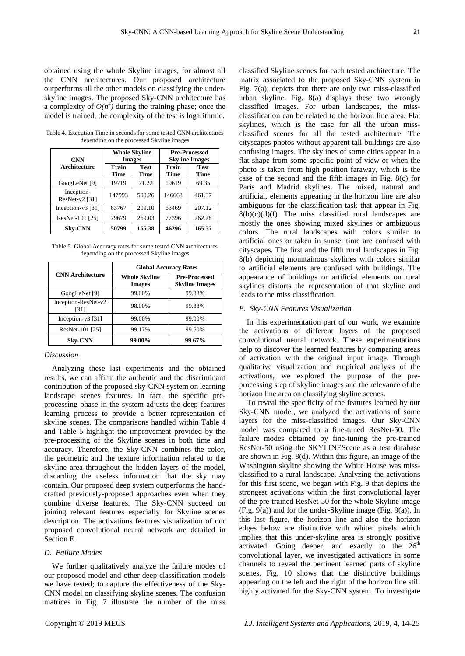obtained using the whole Skyline images, for almost all the CNN architectures. Our proposed architecture outperforms all the other models on classifying the underskyline images. The proposed Sky-CNN architecture has a complexity of  $O(n^4)$  during the training phase; once the model is trained, the complexity of the test is logarithmic.

| <b>CNN</b>                   | <b>Whole Skyline</b><br><b>Images</b> |                            | <b>Pre-Processed</b><br><b>Skyline Images</b> |                            |
|------------------------------|---------------------------------------|----------------------------|-----------------------------------------------|----------------------------|
| Architecture                 | Train<br><b>Time</b>                  | <b>Test</b><br><b>Time</b> | Train<br>Time                                 | <b>Test</b><br><b>Time</b> |
| GoogLeNet [9]                | 19719                                 | 71.22                      | 19619                                         | 69.35                      |
| Inception-<br>ResNet-v2 [31] | 147993                                | 500.26                     | 146663                                        | 461.37                     |
| Inception-v3 [31]            | 63767                                 | 209.10                     | 63469                                         | 207.12                     |
| ResNet-101 [25]              | 79679                                 | 269.03                     | 77396                                         | 262.28                     |
| <b>Skv-CNN</b>               | 50799                                 | 165.38                     | 46296                                         | 165.57                     |

Table 4. Execution Time in seconds for some tested CNN architectures depending on the processed Skyline images

Table 5. Global Accuracy rates for some tested CNN architectures depending on the processed Skyline images

|                             | <b>Global Accuracy Rates</b>          |                                               |  |  |
|-----------------------------|---------------------------------------|-----------------------------------------------|--|--|
| <b>CNN</b> Architecture     | <b>Whole Skyline</b><br><b>Images</b> | <b>Pre-Processed</b><br><b>Skyline Images</b> |  |  |
| GoogLeNet [9]               | 99.00%                                | 99.33%                                        |  |  |
| Inception-ResNet-v2<br>[31] | 98.00%                                | 99.33%                                        |  |  |
| Inception- $v3$ [31]        | 99.00%                                | 99.00%                                        |  |  |
| ResNet-101 [25]             | 99.17%                                | 99.50%                                        |  |  |
| <b>Sky-CNN</b>              | 99.00%                                | 99.67%                                        |  |  |

# *Discussion*

Analyzing these last experiments and the obtained results, we can affirm the authentic and the discriminant contribution of the proposed sky-CNN system on learning landscape scenes features. In fact, the specific preprocessing phase in the system adjusts the deep features learning process to provide a better representation of skyline scenes. The comparisons handled within Table 4 and Table 5 highlight the improvement provided by the pre-processing of the Skyline scenes in both time and accuracy. Therefore, the Sky-CNN combines the color, the geometric and the texture information related to the skyline area throughout the hidden layers of the model, discarding the useless information that the sky may contain. Our proposed deep system outperforms the handcrafted previously-proposed approaches even when they combine diverse features. The Sky-CNN succeed on joining relevant features especially for Skyline scenes description. The activations features visualization of our proposed convolutional neural network are detailed in Section E.

#### *D. Failure Modes*

We further qualitatively analyze the failure modes of our proposed model and other deep classification models we have tested; to capture the effectiveness of the Sky-CNN model on classifying skyline scenes. The confusion matrices in Fig. 7 illustrate the number of the miss

classified Skyline scenes for each tested architecture. The matrix associated to the proposed Sky-CNN system in Fig. 7(a); depicts that there are only two miss-classified urban skyline. Fig. 8(a) displays these two wrongly classified images. For urban landscapes, the missclassification can be related to the horizon line area. Flat skylines, which is the case for all the urban missclassified scenes for all the tested architecture. The cityscapes photos without apparent tall buildings are also confusing images. The skylines of some cities appear in a flat shape from some specific point of view or when the photo is taken from high position faraway, which is the case of the second and the fifth images in Fig. 8(c) for Paris and Madrid skylines. The mixed, natural and artificial, elements appearing in the horizon line are also ambiguous for the classification task that appear in Fig.  $8(b)(c)(d)(f)$ . The miss classified rural landscapes are mostly the ones showing mixed skylines or ambiguous colors. The rural landscapes with colors similar to artificial ones or taken in sunset time are confused with cityscapes. The first and the fifth rural landscapes in Fig. 8(b) depicting mountainous skylines with colors similar to artificial elements are confused with buildings. The appearance of buildings or artificial elements on rural skylines distorts the representation of that skyline and leads to the miss classification.

## *E. Sky-CNN Features Visualization*

In this experimentation part of our work, we examine the activations of different layers of the proposed convolutional neural network. These experimentations help to discover the learned features by comparing areas of activation with the original input image. Through qualitative visualization and empirical analysis of the activations, we explored the purpose of the preprocessing step of skyline images and the relevance of the horizon line area on classifying skyline scenes.

To reveal the specificity of the features learned by our Sky-CNN model, we analyzed the activations of some layers for the miss-classified images. Our Sky-CNN model was compared to a fine-tuned ResNet-50. The failure modes obtained by fine-tuning the pre-trained ResNet-50 using the SKYLINEScene as a test database are shown in Fig. 8(d). Within this figure, an image of the Washington skyline showing the White House was missclassified to a rural landscape. Analyzing the activations for this first scene, we began with Fig. 9 that depicts the strongest activations within the first convolutional layer of the pre-trained ResNet-50 for the whole Skyline image (Fig. 9(a)) and for the under-Skyline image (Fig. 9(a)). In this last figure, the horizon line and also the horizon edges below are distinctive with whiter pixels which implies that this under-skyline area is strongly positive activated. Going deeper, and exactly to the  $26<sup>th</sup>$ convolutional layer, we investigated activations in some channels to reveal the pertinent learned parts of skyline scenes. Fig. 10 shows that the distinctive buildings appearing on the left and the right of the horizon line still highly activated for the Sky-CNN system. To investigate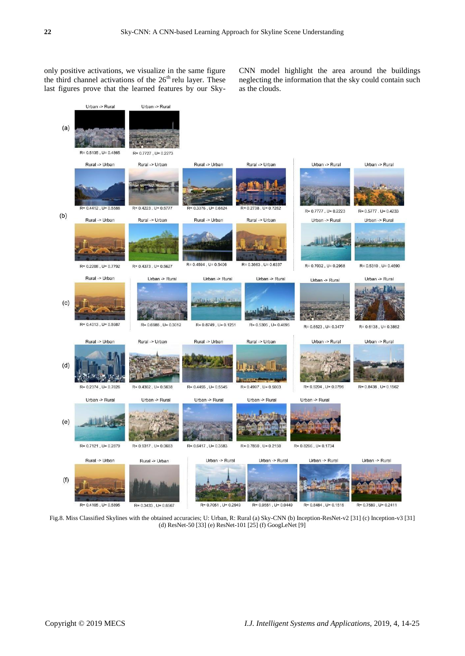only positive activations, we visualize in the same figure the third channel activations of the  $26<sup>th</sup>$  relu layer. These last figures prove that the learned features by our SkyCNN model highlight the area around the buildings neglecting the information that the sky could contain such as the clouds.



Fig.8. Miss Classified Skylines with the obtained accuracies; U: Urban, R: Rural (a) Sky-CNN (b) Inception-ResNet-v2 [31] (c) Inception-v3 [31] (d) ResNet-50 [33] (e) ResNet-101 [25] (f) GoogLeNet [9]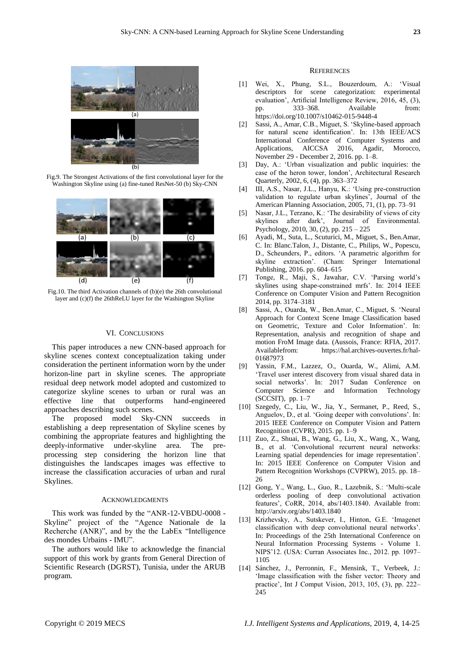

Fig.9. The Strongest Activations of the first convolutional layer for the Washington Skyline using (a) fine-tuned ResNet-50 (b) Sky-CNN



Fig.10. The third Activation channels of (b)(e) the 26th convolutional layer and (c)(f) the 26thReLU layer for the Washington Skyline

#### VI. CONCLUSIONS

This paper introduces a new CNN-based approach for skyline scenes context conceptualization taking under consideration the pertinent information worn by the under horizon-line part in skyline scenes. The appropriate residual deep network model adopted and customized to categorize skyline scenes to urban or rural was an effective line that outperforms hand-engineered approaches describing such scenes.

The proposed model Sky-CNN succeeds in establishing a deep representation of Skyline scenes by combining the appropriate features and highlighting the deeply-informative under-skyline area. The preprocessing step considering the horizon line that distinguishes the landscapes images was effective to increase the classification accuracies of urban and rural Skylines.

#### ACKNOWLEDGMENTS

This work was funded by the "ANR-12-VBDU-0008 -Skyline" project of the "Agence Nationale de la Recherche (ANR)", and by the the LabEx "Intelligence des mondes Urbains - IMU".

The authors would like to acknowledge the financial support of this work by grants from General Direction of Scientific Research (DGRST), Tunisia, under the ARUB program.

#### **REFERENCES**

- [1] Wei, X., Phung, S.L., Bouzerdoum, A.: ‗Visual descriptors for scene categorization: experimental evaluation', Artificial Intelligence Review, 2016, 45, (3), pp. 333–368. Available from: <https://doi.org/10.1007/s10462-015-9448-4>
- [2] Sassi, A., Amar, C.B., Miguet, S. 'Skyline-based approach for natural scene identification'. In: 13th IEEE/ACS International Conference of Computer Systems and Applications, AICCSA 2016, Agadir, Morocco, November 29 - December 2, 2016. pp. 1–8.
- [3] Day, A.: ‗Urban visualization and public inquiries: the case of the heron tower, london', Architectural Research Quarterly, 2002, 6, (4), pp. 363–372
- [4] III, A.S., Nasar, J.L., Hanyu, K.: ‗Using pre-construction validation to regulate urban skylines', Journal of the American Planning Association, 2005, 71, (1), pp. 73–91
- [5] Nasar, J.L., Terzano, K.: 'The desirability of views of city skylines after dark', Journal of Environmental. Psychology, 2010, 30, (2), pp. 215 – 225
- [6] Ayadi, M., Suta, L., Scuturici, M., Miguet, S., Ben.Amar, C. In: Blanc.Talon, J., Distante, C., Philips, W., Popescu, D., Scheunders, P., editors. ‗A parametric algorithm for skyline extraction'. (Cham: Springer International Publishing, 2016. pp. 604–615
- [7] Tonge, R., Maji, S., Jawahar, C.V. ‗Parsing world's skylines using shape-constrained mrfs'. In: 2014 IEEE Conference on Computer Vision and Pattern Recognition 2014, pp. 3174–3181
- [8] Sassi, A., Ouarda, W., Ben.Amar, C., Miguet, S. 'Neural Approach for Context Scene Image Classification based on Geometric, Texture and Color Information'. In: Representation, analysis and recognition of shape and motion FroM Image data. (Aussois, France: RFIA, 2017. Availablefrom: https://hal.archives-ouvertes.fr/hal-01687973
- [9] Yassin, F.M., Lazzez, O., Ouarda, W., Alimi, A.M. ‗Travel user interest discovery from visual shared data in social networks'. In: 2017 Sudan Conference on Computer Science and Information Technology (SCCSIT), pp. 1–7
- [10] Szegedy, C., Liu, W., Jia, Y., Sermanet, P., Reed, S., Anguelov, D., et al. 'Going deeper with convolutions'. In: 2015 IEEE Conference on Computer Vision and Pattern Recognition (CVPR), 2015. pp. 1–9
- [11] Zuo, Z., Shuai, B., Wang, G., Liu, X., Wang, X., Wang, B., et al. 'Convolutional recurrent neural networks: Learning spatial dependencies for image representation'. In: 2015 IEEE Conference on Computer Vision and Pattern Recognition Workshops (CVPRW), 2015. pp. 18– 26
- [12] Gong, Y., Wang, L., Guo, R., Lazebnik, S.: ‗Multi-scale orderless pooling of deep convolutional activation features', CoRR, 2014, abs/1403.1840. Available from: http://arxiv.org/abs/1403.1840
- [13] Krizhevsky, A., Sutskever, I., Hinton, G.E. ‗Imagenet classification with deep convolutional neural networks'. In: Proceedings of the 25th International Conference on Neural Information Processing Systems - Volume 1. NIPS'12. (USA: Curran Associates Inc., 2012. pp. 1097– 1105
- [14] Sánchez, J., Perronnin, F., Mensink, T., Verbeek, J.: 'Image classification with the fisher vector: Theory and practice', Int J Comput Vision, 2013, 105, (3), pp. 222– 245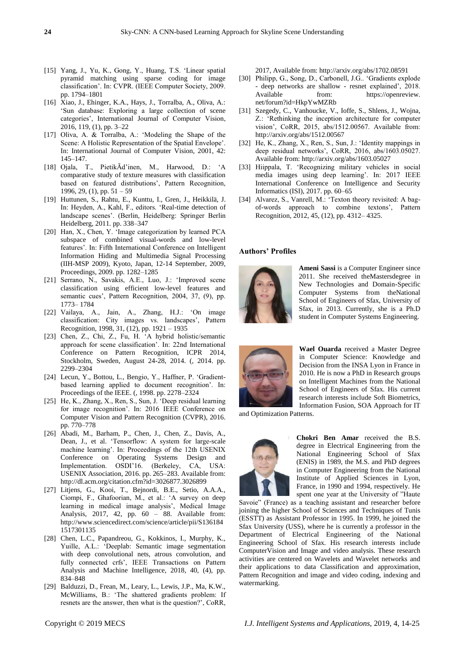- [15] Yang, J., Yu, K., Gong, Y., Huang, T.S. ‗Linear spatial pyramid matching using sparse coding for image classification'. In: CVPR. (IEEE Computer Society, 2009. pp. 1794–1801
- [16] Xiao, J., Ehinger, K.A., Hays, J., Torralba, A., Oliva, A.: ‗Sun database: Exploring a large collection of scene categories', International Journal of Computer Vision, 2016, 119, (1), pp. 3–22
- [17] Oliva, A. & Torralba, A.: 'Modeling the Shape of the Scene: A Holistic Representation of the Spatial Envelope'. In: International Journal of Computer Vision, 2001, 42: 145–147.
- [18] Ojala, T., PietikÃd'inen, M., Harwood, D.: ‗A comparative study of texture measures with classification based on featured distributions', Pattern Recognition, 1996, 29, (1), pp.  $51 - 59$
- [19] Huttunen, S., Rahtu, E., Kunttu, I., Gren, J., Heikkilä, J. In: Heyden, A., Kahl, F., editors. 'Real-time detection of landscape scenes'. (Berlin, Heidelberg: Springer Berlin Heidelberg, 2011. pp. 338–347
- [20] Han, X., Chen, Y. 'Image categorization by learned PCA subspace of combined visual-words and low-level features'. In: Fifth International Conference on Intelligent Information Hiding and Multimedia Signal Processing (IIH-MSP 2009), Kyoto, Japan, 12-14 September, 2009, Proceedings, 2009. pp. 1282–1285
- [21] Serrano, N., Savakis, A.E., Luo, J.: ‗Improved scene classification using efficient low-level features and semantic cues', Pattern Recognition, 2004, 37, (9), pp. 1773– 1784
- [22] Vailaya, A., Jain, A., Zhang, H.J.: ‗On image classification: City images vs. landscapes', Pattern Recognition, 1998, 31, (12), pp. 1921 – 1935
- [23] Chen, Z., Chi, Z., Fu, H. ‗A hybrid holistic/semantic approach for scene classification'. In: 22nd International Conference on Pattern Recognition, ICPR 2014, Stockholm, Sweden, August 24-28, 2014. (, 2014. pp. 2299–2304
- [24] Lecun, Y., Bottou, L., Bengio, Y., Haffner, P. 'Gradientbased learning applied to document recognition'. In: Proceedings of the IEEE. (, 1998. pp. 2278–2324
- [25] He, K., Zhang, X., Ren, S., Sun, J. 'Deep residual learning for image recognition'. In: 2016 IEEE Conference on Computer Vision and Pattern Recognition (CVPR), 2016. pp. 770–778
- [26] Abadi, M., Barham, P., Chen, J., Chen, Z., Davis, A., Dean, J., et al. 'Tensorflow: A system for large-scale machine learning'. In: Proceedings of the 12th USENIX Conference on Operating Systems Design and Implementation. OSDI'16. (Berkeley, CA, USA: USENIX Association, 2016. pp. 265–283. Available from: http://dl.acm.org/citation.cfm?id=3026877.3026899
- [27] Litjens, G., Kooi, T., Bejnordi, B.E., Setio, A.A.A., Ciompi, F., Ghafoorian, M., et al.: ‗A survey on deep learning in medical image analysis', Medical Image Analysis, 2017, 42, pp. 60 – 88. Available from: http://www.sciencedirect.com/science/article/pii/S136184 1517301135
- [28] Chen, L.C., Papandreou, G., Kokkinos, I., Murphy, K., Yuille, A.L.: 'Deeplab: Semantic image segmentation with deep convolutional nets, atrous convolution, and fully connected crfs', IEEE Transactions on Pattern Analysis and Machine Intelligence, 2018, 40, (4), pp. 834–848
- [29] Balduzzi, D., Frean, M., Leary, L., Lewis, J.P., Ma, K.W., McWilliams, B.: 'The shattered gradients problem: If resnets are the answer, then what is the question?', CoRR,

2017, Available from: http://arxiv.org/abs/1702.08591

- [30] Philipp, G., Song, D., Carbonell, J.G.. 'Gradients explode - deep networks are shallow - resnet explained', 2018. Available from: https://openreview. net/forum?id=HkpYwMZRb
- [31] Szegedy, C., Vanhoucke, V., Ioffe, S., Shlens, J., Wojna, Z.: ‗Rethinking the inception architecture for computer vision', CoRR, 2015, abs/1512.00567. Available from: http://arxiv.org/abs/1512.00567
- [32] He, K., Zhang, X., Ren, S., Sun, J.: 'Identity mappings in deep residual networks', CoRR, 2016, abs/1603.05027. Available from: http://arxiv.org/abs/1603.05027
- [33] Hiippala, T. 'Recognizing military vehicles in social media images using deep learning'. In: 2017 IEEE International Conference on Intelligence and Security Informatics (ISI), 2017. pp. 60–65
- [34] Alvarez, S., Vanrell, M.: 'Texton theory revisited: A bagof-words approach to combine textons', Pattern Recognition, 2012, 45, (12), pp. 4312– 4325.

# **Authors' Profiles**



**Ameni Sassi** is a Computer Engineer since 2011. She received theMastersdegree in New Technologies and Domain-Specific Computer Systems from theNational School of Engineers of Sfax, University of Sfax, in 2013. Currently, she is a Ph.D student in Computer Systems Engineering.



**Wael Ouarda** received a Master Degree in Computer Science: Knowledge and Decision from the INSA Lyon in France in 2010. He is now a PhD in Research groups on Intelligent Machines from the National School of Engineers of Sfax. His current research interests include Soft Biometrics, Information Fusion, SOA Approach for IT

and Optimization Patterns.



**Chokri Ben Amar** received the B.S. degree in Electrical Engineering from the National Engineering School of Sfax (ENIS) in 1989, the M.S. and PhD degrees in Computer Engineering from the National Institute of Applied Sciences in Lyon, France, in 1990 and 1994, respectively. He spent one year at the University of "Haute

Savoie" (France) as a teaching assistant and researcher before joining the higher School of Sciences and Techniques of Tunis (ESSTT) as Assistant Professor in 1995. In 1999, he joined the Sfax University (USS), where he is currently a professor in the Department of Electrical Engineering of the National Engineering School of Sfax. His research interests include ComputerVision and Image and video analysis. These research activities are centered on Wavelets and Wavelet networks and their applications to data Classification and approximation, Pattern Recognition and image and video coding, indexing and watermarking.